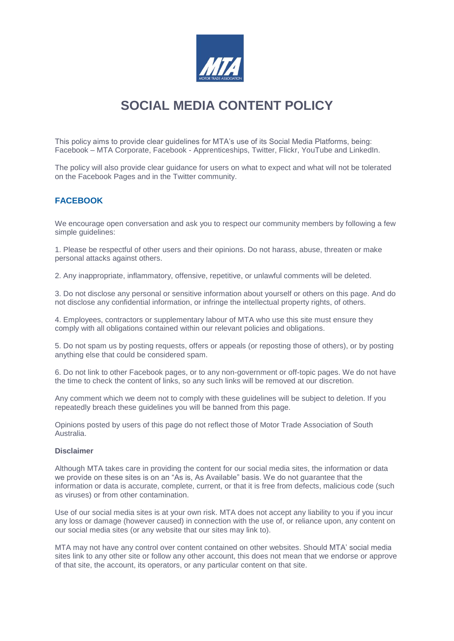

# **SOCIAL MEDIA CONTENT POLICY**

This policy aims to provide clear guidelines for MTA's use of its Social Media Platforms, being: Facebook – MTA Corporate, Facebook - Apprenticeships, Twitter, Flickr, YouTube and LinkedIn.

The policy will also provide clear guidance for users on what to expect and what will not be tolerated on the Facebook Pages and in the Twitter community.

# **FACEBOOK**

We encourage open conversation and ask you to respect our community members by following a few simple quidelines:

1. Please be respectful of other users and their opinions. Do not harass, abuse, threaten or make personal attacks against others.

2. Any inappropriate, inflammatory, offensive, repetitive, or unlawful comments will be deleted.

3. Do not disclose any personal or sensitive information about yourself or others on this page. And do not disclose any confidential information, or infringe the intellectual property rights, of others.

4. Employees, contractors or supplementary labour of MTA who use this site must ensure they comply with all obligations contained within our relevant policies and obligations.

5. Do not spam us by posting requests, offers or appeals (or reposting those of others), or by posting anything else that could be considered spam.

6. Do not link to other Facebook pages, or to any non-government or off-topic pages. We do not have the time to check the content of links, so any such links will be removed at our discretion.

Any comment which we deem not to comply with these guidelines will be subject to deletion. If you repeatedly breach these guidelines you will be banned from this page.

Opinions posted by users of this page do not reflect those of Motor Trade Association of South Australia.

#### **Disclaimer**

Although MTA takes care in providing the content for our social media sites, the information or data we provide on these sites is on an "As is, As Available" basis. We do not guarantee that the information or data is accurate, complete, current, or that it is free from defects, malicious code (such as viruses) or from other contamination.

Use of our social media sites is at your own risk. MTA does not accept any liability to you if you incur any loss or damage (however caused) in connection with the use of, or reliance upon, any content on our social media sites (or any website that our sites may link to).

MTA may not have any control over content contained on other websites. Should MTA' social media sites link to any other site or follow any other account, this does not mean that we endorse or approve of that site, the account, its operators, or any particular content on that site.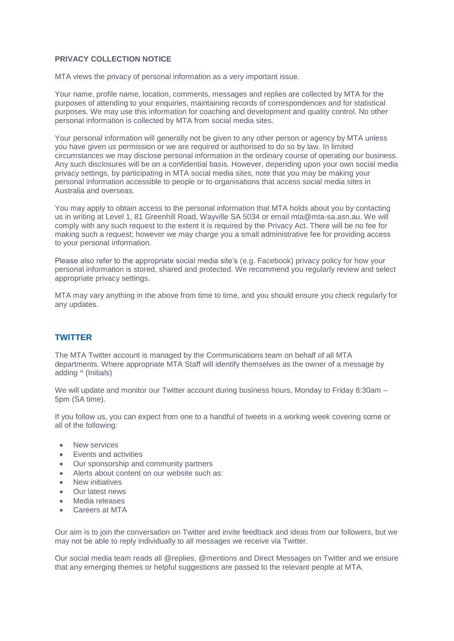## **PRIVACY COLLECTION NOTICE**

MTA views the privacy of personal information as a very important issue.

Your name, profile name, location, comments, messages and replies are collected by MTA for the purposes of attending to your enquiries, maintaining records of correspondences and for statistical purposes. We may use this information for coaching and development and quality control. No other personal information is collected by MTA from social media sites.

Your personal information will generally not be given to any other person or agency by MTA unless you have given us permission or we are required or authorised to do so by law. In limited circumstances we may disclose personal information in the ordinary course of operating our business. Any such disclosures will be on a confidential basis. However, depending upon your own social media privacy settings, by participating in MTA social media sites, note that you may be making your personal information accessible to people or to organisations that access social media sites in Australia and overseas.

You may apply to obtain access to the personal information that MTA holds about you by contacting us in writing at Level 1, 81 Greenhill Road, Wayville SA 5034 or email mta@mta-sa.asn.au. We will comply with any such request to the extent it is required by the Privacy Act. There will be no fee for making such a request; however we may charge you a small administrative fee for providing access to your personal information.

Please also refer to the appropriate social media site's (e.g. Facebook) privacy policy for how your personal information is stored, shared and protected. We recommend you regularly review and select appropriate privacy settings.

MTA may vary anything in the above from time to time, and you should ensure you check regularly for any updates.

## **TWITTER**

The MTA Twitter account is managed by the Communications team on behalf of all MTA departments. Where appropriate MTA Staff will identify themselves as the owner of a message by adding ^ (Initials)

We will update and monitor our Twitter account during business hours, Monday to Friday 8:30am – 5pm (SA time).

If you follow us, you can expect from one to a handful of tweets in a working week covering some or all of the following:

- New services
- Events and activities
- Our sponsorship and community partners
- Alerts about content on our website such as:
- New initiatives
- Our latest news
- Media releases
- Careers at MTA

Our aim is to join the conversation on Twitter and invite feedback and ideas from our followers, but we may not be able to reply individually to all messages we receive via Twitter.

Our social media team reads all @replies, @mentions and Direct Messages on Twitter and we ensure that any emerging themes or helpful suggestions are passed to the relevant people at MTA.